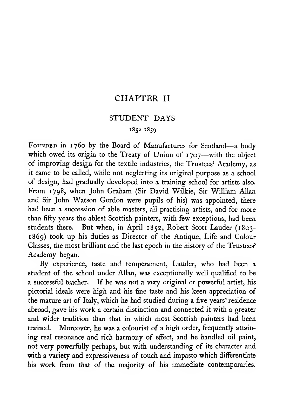### CHAPTER II

### STUDENT DAYS

### 1852-1859

FOUNDED in 1760 by the Board of Manufactures for Scotland—a body which owed its origin to the Treaty of Union of 1707—with the object of improving design for the textile industries, the Trustees' Academy, as it came to be called, while not neglecting its original purpose as a school of design, had gradually developed into a training school for artists also. From 1798, when John Graham (Sir David Wilkie, Sir William Allan and Sir John Watson Gordon were pupils of his) was appointed, there had been a succession of able masters, all practising artists, and for more than fifty years the ablest Scottish painters, with few exceptions, had been students there. But when, in April 1852, Robert Scott Lauder (1803- 1869) took up his duties as Director of the Antique, Life and Colour Classes, the most brilliant and the last epoch in the history of the Trustees' Academy began.

By experience, taste and temperament, Lauder, who had been a student of the school under Allan, was exceptionally well qualified to be a successful teacher. If he was not a very original or powerful artist, his pictorial ideals were high and his fine taste and his keen appreciation of the mature art of Italy, which he had studied during a five years' residence abroad, gave his work a certain distinction and connected it with a greater and wider tradition than that in which most Scottish painters had been trained. Moreover, he was a colourist of a high order, frequently attaining real resonance and rich harmony of effect, and he handled oil paint, not very powerfully perhaps, but with understanding of its character and with a variety and expressiveness of touch and impasto which differentiate his work from that of the majority of his immediate contemporaries.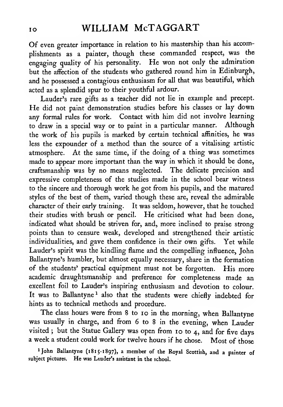Of even greater importance in relation to his mastership than his accomplishments as <sup>a</sup> painter, though these commanded respect, was the engaging quality of his personality. He won not only the admiration but the affection of the students who gathered round him in Edinburgh, and he possessed a contagious enthusiasm for all that was beautiful, which acted as a splendid spur to their youthful ardour.

Lauder's rare gifts as a teacher did not lie in example and precept. He did not paint demonstration studies before his classes or lay down any formal rules for work. Contact with him did not involve learning to draw in <sup>a</sup> special way or to paint in <sup>a</sup> particular manner. Although the work of his pupils is marked by certain technical affinities, he was less the expounder of a method than the source of a vitalising artistic atmosphere. At the same time, if the doing of a thing was sometimes made to appear more important than the way in which it should be done, craftsmanship was by no means neglected. The delicate precision and expressive completeness of the studies made in the school bear witness to the sincere and thorough work he got from his pupils, and the matured styles of the best of them, varied though these are, reveal the admirable character of their early training. It was seldom, however, that he touched their studies with brush or pencil. He criticised what had been done, indicated what should be striven for, and, more inclined to praise strong points than to censure weak, developed and strengthened their artistic individualities, and gave them confidence in their own gifts. Yet while Lauder's spirit was the kindling flame and the compelling influence, John Ballantyne's humbler, but almost equally necessary, share in the formation of the students' practical equipment must not be forgotten. His more academic draughtsmanship and preference for completeness made an excellent foil to Lauder's inspiring enthusiasm and devotion to colour. It was to Ballantyne<sup>1</sup> also that the students were chiefly indebted for hints as to technical methods and procedure.

The class hours were from 8 to 10 in the morning, when Ballantyne was usually in charge, and from 6 to <sup>8</sup> in the evening, when Lauder visited; but the Statue Gallery was open from 10 to 4, and for five days <sup>a</sup> week <sup>a</sup> student could work for twelve hours if he chose. Most of those

<sup>1</sup> John Ballantyne (1815-1897), a member of the Royal Scottish, and a painter of subject pictures. He was Lauder's assistant in the school.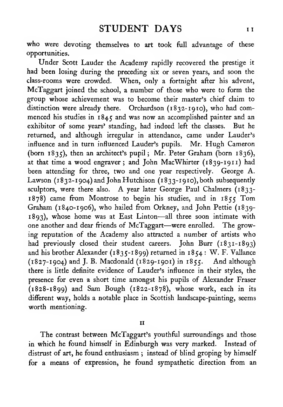who were devoting themselves to art took full advantage of these opportunities.

Under Scott Lauder the Academy rapidly recovered the prestige it had been losing during the preceding six or seven years, and soon the class-rooms were crowded. When, only a fortnight after his advent, McTaggart joined the school, <sup>a</sup> number of those who were to form the group whose achievement was to become their master's chief claim to distinction were already there. Orchardson (1832- 19 to), who had com menced his studies in  $1845$  and was now an accomplished painter and an exhibitor of some vears' standing, had indeed left the classes. But he exhibitor of some years' standing, had indeed left the classes. returned, and although irregular in attendance, came under Lauder's influence and in turn influenced Lauder's pupils. Mr. Hugh Cameron (born 1835), then an architect's pupil; Mr. Peter Graham (born 1836), at that time a wood engraver ; and John MacWhirter (1839-1911) had been attending for three, two and one year respectively. George A. Lawson (1832-1904) and John Hutchison (1833-1910), both subsequently sculptors, were there also. A year later George Paul Chalmers (1833- 1878) came from Montrose to begin his studies, and in <sup>1855</sup> Tom Graham (1840-1906), who hailed from Orkney, and John Pettie (1839-1893), whose home was at East Linton—all three soon intimate with one another and dear friends of McTaggart—were enrolled. The growing reputation of the Academy also attracted a number of artists who had previously closed their student careers. John Burr (1831-1893) and his brother Alexander (1835-1899) returned in 1854 : W. F. Vallance  $(1827 - 1904)$  and J. B. Macdonald  $(1829 - 1901)$  in  $1855$ . And although there is little definite evidence of Lauder's influence in their styles, the presence for even a short time amongst his pupils of Alexander Fraser  $(1828-1899)$  and Sam Bough  $(1822-1878)$ , whose work, each in its different way, holds a notable place in Scottish landscape-painting, seems worth mentioning.

II

The contrast between McTaggart's youthful surroundings and those in which he found himself in Edinburgh was very marked. Instead of distrust of art, he found enthusiasm ; instead of blind groping by himself for a means of expression, he found sympathetic direction from an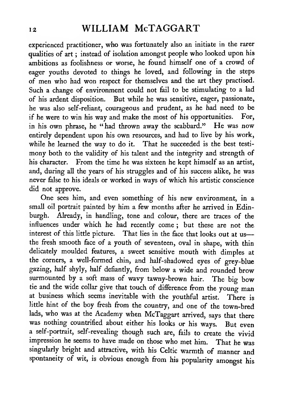experienced practitioner, who was fortunately also an initiate in the rarer qualities of art; instead of isolation amongst people who looked upon his ambitions as foolishness or worse, he found himself one of a crowd of eager youths devoted to things he loved, and following in the steps of men who had won respect for themselves and the art they practised. Such a change of environment could not fail to be stimulating to a lad of his ardent disposition. But while he was sensitive, eager, passionate, he was also self-reliant, courageous and prudent, as he had need to be if he were to win his way and make the most of his opportunities. For, in his own phrase, he "had thrown away the scabbard." He was now entirely dependent upon his own resources, and had to live by his work, while he learned the way to do it. That he succeeded is the best testi mony both to the validity of his talent and the integrity and strength of his character. From the time he was sixteen he kept himself as an artist, and, during all the years of his struggles and of his success alike, he was never false to his ideals or worked in ways of which his artistic conscience did not approve.

One sees him, and even something of his new environment, in a small oil portrait painted by him a few months after he arrived in Edinburgh. Already, in handling, tone and colour, there are traces of the influences under which he had recently come ; but these are not the interest of this little picture. That lies in the face that looks out at us the fresh smooth face of a youth of seventeen, oval in shape, with thin delicately moulded features, <sup>a</sup> sweet sensitive mouth with dimples at the corners, a well-formed chin, and half-shadowed eyes of grey-blue gazing, half shyly, half defiantly, from below a wide and rounded brow surmounted by <sup>a</sup> soft mass of wavy tawny-brown hair. The big bow tie and the wide collar give that touch of difference from the young man at business which seems inevitable with the youthful artist. There is little hint of the boy fresh from the country, and one of the town-bred lads, who was at the Academy when McTaggart arrived, says that there was nothing countrified about either his looks or his ways. But even <sup>a</sup> self-portrait, self-revealing though such are, fails to create the vivid impression he seems to have made on those who met him. That he was singularly bright and attractive, with his Celtic warmth of manner and spontaneity of wit, is obvious enough from his popularity amongst his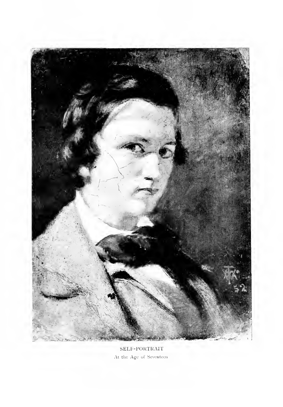

SEI.F-POKTKAIT At the Age of Seventeen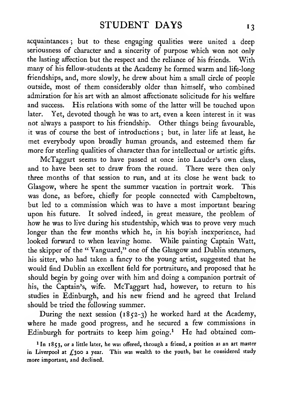acquaintances ; but to these engaging qualities were united a deep seriousness of character and a sincerity of purpose which won not only the lasting affection but the respect and the reliance of his friends. With many of his fellow-students at the Academy he formed warm and life-long friendships, and, more slowly, he drew about him a small circle of people outside, most of them considerably older than himself, who combined admiration for his art with an almost affectionate solicitude for his welfare and success. His relations with some of the latter will be touched upon later. Yet, devoted though he was to art, even a keen interest in it was not always a passport to his friendship. Other things being favourable, it was of course the best of introductions ; but, in later life at least, he met everybody upon broadly human grounds, and esteemed them far more for sterling qualities of character than for intellectual or artistic gifts.

McTaggart seems to have passed at once into Lauder's own class, and to have been set to draw from the round. There were then only three months of that session to run, and at its close he went back to Glasgow, where he spent the summer vacation in portrait work. This was done, as before, chiefly for people connected with Campbeltown, but led to a commission which was to have a most important bearing upon his future. It solved indeed, in great measure, the problem of how he was to live during his studentship, which was to prove very much longer than the few months which he, in his boyish inexperience, had looked forward to when leaving home. While painting Captain Watt, the skipper of the "Vanguard," one of the Glasgow and Dublin steamers, his sitter, who had taken a fancy to the young artist, suggested that he would find Dublin an excellent field for portraiture, and proposed that he should begin by going over with him and doing a companion portrait of his, the Captain's, wife. McTaggart had, however, to return to his studies in Edinburgh, and his new firiend and he agreed that Ireland should be tried the following summer.

During the next session (1852-3) he worked hard at the Academy, where he made good progress, and he secured a few commissions in Edinburgh for portraits to keep him going.<sup>1</sup> He had obtained com-

<sup>1</sup> In 1853, or a little later, he was offered, through a friend, a position as an art master in Liverpool at  $\pounds$ 300 a year. This was wealth to the youth, but he considered study more important, and declined.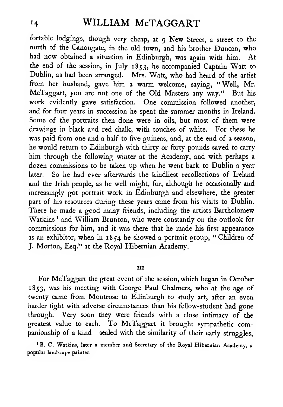# <sup>14</sup> WILLIAM McTAGGART

fortable lodgings, though very cheap, at <sup>9</sup> New Street, <sup>a</sup> street to the north of the Canongate, in the old town, and his brother Duncan, who had now obtained <sup>a</sup> situation in Edinburgh, was again with him. At the end of the session, in July 1853, he accompanied Captain Watt to Dublin, as had been arranged. Mrs. Watt, who had heard of the artist from her husband, gave him a warm welcome, saying, "Well, Mr. McTaggart, you are not one of the Old Masters any way." But his work evidently gave satisfaction. One commission followed another, and for four years in succession he spent the summer months in Ireland. Some of the portraits then done were in oils, but most of them were drawings in black and red chalk, with touches of white. For these he was paid from one and a half to five guineas, and, at the end of a season, he would return to Edinburgh with thirty or forty pounds saved to carry him through the following winter at the Academy, and with perhaps a dozen commissions to be taken up when he went back to Dublin a year later. So he had ever afterwards the kindliest recollections of Ireland and the Irish people, as he well might, for, although he occasionally and increasingly got portrait work in Edinburgh and elsewhere, the greater part of his resources during these years came from his visits to Dublin. There he made a good many friends, including the artists Bartholomew Watkins<sup>1</sup> and William Brunton, who were constantly on the outlook for commissions for him, and it was there that he made his first appearance as an exhibitor, when in  $1854$  he showed a portrait group, "Children of J. Morton, Esq." at the Royal Hibernian Academy.

#### Ill

For McTaggart the great event of the session, which began in October 1853, was his meeting with George Paul Chalmers, who at the age of twenty came from Montrose to Edinburgh to study art, after an even harder fight with adverse circumstances than his fellow-student had gone through. Very soon they were friends with a close intimacy of the greatest value to each. To McTaggart it brought sympathetic companionship of <sup>a</sup> kind—sealed with the similarity of their early struggles,

<sup>1</sup> B. C. Watkins, later a member and Secretary of the Royal Hibernian Academy, a popular landscape painter,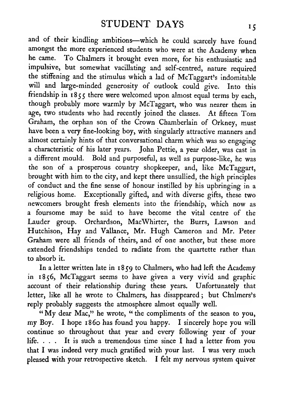and of their kindling ambitions—which he could scarcely have found amongst the more experienced students who were at the Academy when he came. To Chalmers it brought even more, for his enthusiastic and impulsive, but somewhat vacillating and self-centred, nature required the stiffening and the stimulus which a lad of McTaggart's indomitable will and large-minded generosity of outlook could give. Into this friendship in  $1855$  there were welcomed upon almost equal terms by each, though probably more warmly by McTaggart, who was nearer them in age, two students who had recently joined the classes. At fifteen Tom Graham, the orphan son of the Crown Chamberlain of Orkney, must have been a very fine-looking boy, with singularly attractive manners and almost certainly hints of that conversational charm which was so engaging a characteristic of his later years. John Pettie, a year older, was cast in a different mould. Bold and purposeful, as well as purpose-like, he was the son of a prosperous country shopkeeper, and, like McTaggart, brought with him to the city, and kept there unsullied, the high principles of conduct and the fine sense of honour instilled by his upbringing in a religious home. Exceptionally gifted, and with diverse gifts, these two newcomers brought fresh elements into the friendship, which now as a foursome may be said to have become the vital centre of the Lauder group. Orchardson, MacWhirter, the Burrs, Lawson and Hutchison, Hay and Vallance, Mr. Hugh Cameron and Mr. Peter Graham were all friends of theirs, and of one another, but these more extended friendships tended to radiate from the quartette rather than to absorb it.

In <sup>a</sup> letter written late in 1859 to Chalmers, who had left the Academy in 1856, McTaggart seems to have given a very vivid and graphic account of their relationship during these years. Unfortunately that letter, like all he wrote to Chalmers, has disappeared ; but Chalmers's reply probably suggests the atmosphere almost equally well.

" My dear Mac," he wrote, " the compliments of the season to you, my Boy. <sup>I</sup> hope i860 has found you happy. <sup>I</sup> sincerely hope you will continue so throughout that year and every following year of your life. ... It is such a tremendous time since <sup>I</sup> had a letter from you that <sup>I</sup> was indeed very much gratified with your last. <sup>I</sup> was very much pleased with your retrospective sketch. <sup>I</sup> felt my nervous system quiver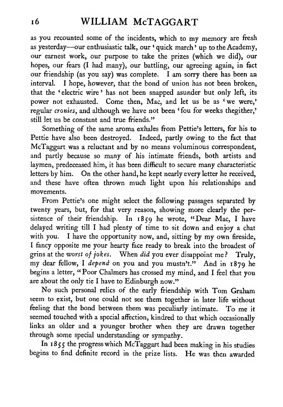as you recounted some of the incidents, which to my memory are fresh as yesterday—our enthusiastic talk, our ' quick march ' up to the Academy, our earnest work, our purpose to take the prizes (which we did), our hopes, our fears (I had many), our battling, our agreeing again, in fact our friendship (as you say) was complete. <sup>I</sup> am sorry there has been an interval. <sup>I</sup> hope, however, that the bond of union has not been broken, that the 'electric wire' has not been snapped asunder but only left, its power not exhausted. Come then, Mac, and let us be as 'we were,' regular cronies, and although we have not been 'fou for weeks thegither,' still let us be constant and true friends."

Something of the same aroma exhales from Pettie's letters, for his to Pettie have also been destroyed. Indeed, partly owing to the fact that McTaggart was a reluctant and by no means voluminous correspondent, and partly because so many of his intimate friends, both artists and laymen, predeceased him, it has been difficult to secure many characteristic letters by him. On the other hand, he kept nearly every letter he received, and these have often thrown much light upon his relationships and movements.

From Pettie's one might select the following passages separated by twenty years, but, for that very reason, showing more clearly the persistence of their friendship. In 1859 he wrote, "Dear Mac, <sup>I</sup> have delayed writing till <sup>I</sup> had plenty of time to sit down and enjoy a chat with you. <sup>I</sup> have the opportunity now, and, sitting by my own fireside, <sup>I</sup> fancy opposite me your hearty face ready to break into the broadest of grins at the worst of jokes. When did you ever disappoint me ? Truly, my dear fellow, <sup>I</sup> depend on you and you mustn't." And in <sup>1879</sup> he begins <sup>a</sup> letter, " Poor Chalmers has crossed my mind, and <sup>I</sup> feel that you are about the only tie <sup>I</sup> have to Edinburgh now."

No such personal relics of the early friendship with Tom Graham seem to exist, but one could not see them together in later life without feeling that the bond between them was peculiarly intimate. To me itseemed touched with a special affection, kindred to that which occasionally links an older and a younger brother when they are drawn together through some special understanding or sympathy.

In 1855 the progress which McTaggart had been making in his studies begins to find definite record in the prize lists. He was then awarded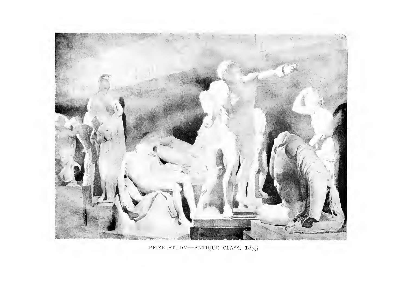

PRIZE ST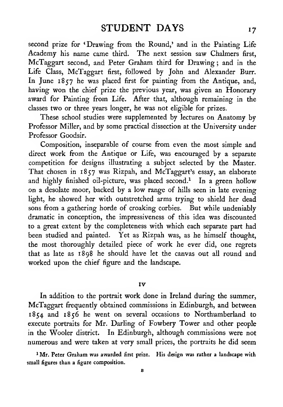second prize for 'Drawing from the Round,' and in the Painting Life Academy his name came third. The next session saw Chalmers first, McTaggart second, and Peter Graham third for Drawing ; and in the Life Class, McTaggart first, followed by John and Alexander Burr. In June 1857 he was placed first for painting from the Antique, and, having won the chief prize the previous year, was given an Honorary award for Painting from Life. After that, although remaining in the classes two or three years longer, he was not eligible for prizes.

These school studies were supplemented by lectures on Anatomy by Professor Miller, and by some practical dissection at the University under Professor Goodsir.

Composition, inseparable of course from even the most simple and direct work from the Antique or Life, was encouraged by a separate competition for designs illustrating a subject selected by the Master. That chosen in 1857 was Rizpah, and McTaggart's essay, an elaborate and highly finished oil-picture, was placed second.<sup>1</sup> In a green hollow on a desolate moor, backed by a low range of hills seen in late evening light, he showed her with outstretched arms trying to shield her dead sons from a gathering horde of croaking corbies. But while undeniably dramatic in conception, the impressiveness of this idea was discounted to a great extent by the completeness with which each separate part had been studied and painted. Yet as Rizpah was, as he himself thought, the most thoroughly detailed piece of work he ever did, one regrets that as late as 1898 he should have let the canvas out all round and worked upon the chief figure and the landscape.

#### IV

In addition to the portrait work done in Ireland during the summer, McTaggart frequently obtained commissions in Edinburgh, and between 1854 and 1856 he went on several occasions to Northumberland to execute portraits for Mr. Darling of Fowbery Tower and other people in the Wooler district. In Edinburgh, although commissions were not numerous and were taken at very small prices, the portraits he did seem

' Mr. Peter Graham was awarded first prize. His design was rather <sup>a</sup> landscape with small figures than a figure composition.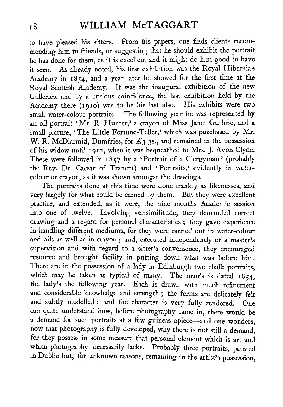to have pleased his sitters. From his papers, one finds clients recom mending him to friends, or suggesting that he should exhibit the portrait he has done for them, as it is excellent and it might do him good to have it seen. As already noted, his first exhibition was the Royal Hibernian Academy in 1854, and <sup>a</sup> year later he showed for the first time at the Royal Scottish Academy. It was the inaugural exhibition of the new Galleries, and by a curious coincidence, the last exhibition held by the Academy there (1910) was to be his last also. His exhibits were two small water-colour portraits. The following year he was represented by an oil portrait ' Mr. R. Hunter,' a crayon of Miss Janet Guthrie, and a small picture, 'The Little Fortune-Teller,' which was purchased by Mr. W. R. McDiarmid, Dumfries, for  $\mathcal{L}_3$  3s., and remained in the possession of his widow until 1912, when it was bequeathed to Mrs. J. Avon Clyde. These were followed in 1857 by a 'Portrait of <sup>a</sup> Clergyman' (probably the Rev. Dr. Caesar of Tranent) and 'Portraits,' evidently in watercolour or crayon, as it was shown amongst the drawings.

The portraits done at this time were done frankly as likenesses, and very largely for what could be earned by them. But they were excellent practice, and extended, as it were, the nine months Academic session into one of twelve. Involving verisimilitude, they demanded correct drawing and a regard for personal characteristics ; they gave experience in handling different mediums, for they were carried out in water-colour and oils as well as in crayon ; and, executed independently of a master's supervision and with regard to a sitter's convenience, they encouraged resource and brought facility in putting down what was before him. There are in the possession of a lady in Edinburgh two chalk portraits, which may be taken as typical of many. The man's is dated  $1854$ , the lady's the following year. Each is drawn with much refinement and considerable knowledge and strength ; the forms are delicately felt and subtly modelled ; and the character is very fully rendered. One can quite understand how, before photography came in, there would be <sup>a</sup> demand for such portraits at <sup>a</sup> few guineas apiece—and one wonders, now that photography is fully developed, why there is not still <sup>a</sup> demand, for they possess in some measure that personal element which is art and which photography necessarily lacks. Probably three portraits, painted in Dublin but, for unknown reasons, remaining in the artist's possession,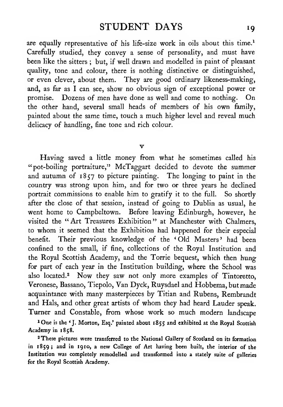are equally representative of his life-size work in oils about this time.<sup>1</sup> Carefully studied, they convey a sense of personality, and must have been like the sitters ; but, if well drawn and modelled in paint of pleasant quality, tone and colour, there is nothing distinctive or distinguished, or even clever, about them. They are good ordinary likeness-making, and, as far as <sup>I</sup> can see, show no obvious sign of exceptional power or promise. Dozens of men have done as well and come to nothing. On the other hand, several small heads of members of his own family, painted about the same time, touch a much higher level and reveal much delicacy of handling, fine tone and rich colour.

 $\overline{\mathbf{v}}$ 

Having saved a little money from what he sometimes called his "pot-boiling portraiture," McTaggart decided to devote the summer and autumn of 1857 to picture painting. The longing to paint in the country was strong upon him, and for two or three years he declined portrait commissions to enable him to gratify it to the full. So shortly after the close of that session, instead of going to Dublin as usual, he went home to Campbeltown. Before leaving Edinburgh, however, he visited the "Art Treasures Exhibition" at Manchester with Chalmers, to whom it seemed that the Exhibition had happened for their especial benefit. Their previous knowledge of the 'Old Masters' had been confined to the small, if fine, collections of the Royal Institution and the Royal Scottish Academy, and the Torrie bequest, which then hung for part of each year in the Institution building, where the School was also located.<sup>2</sup> Now they saw not only more examples of Tintoretto, Veronese, Bassano, Tiepolo, Van Dyck, Ruysdael and Hobbema, but made acquaintance with many masterpieces by Titian and Rubens, Rembrandt and Hals, and other great artists of whom they had heard Lauder speak. Turner and Constable, from whose work so much modern landscape

<sup>1</sup>One is the 'J. Morton, Esq.' painted about 1855 and exhibited at the Royal Scottish Academy in 1858.

<sup>2</sup> These pictures were transferred to the National Gallery of Scotland on its formation in 1859; and in 1910, a new College of Art having been built, the interior of the Institution was completely remodelled and transformed into a stately suite of galleries for the Royal Scottish Academy.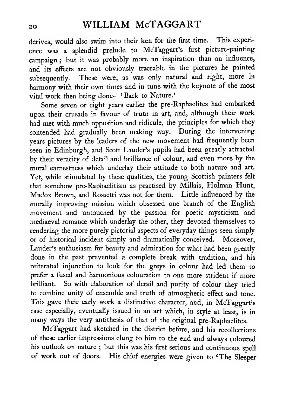derives, would also swim into their ken for the first time. This experience was a splendid prelude to McTaggart's first picture-painting campaign; but it was probably more an inspiration than an influence, and its effects are not obviously traceable in the pictures he painted subsequently. These were, as was only natural and right, more in harmony with their own times and in tune with the keynote of the most vital work then being done—' Back to Nature.'

Some seven or eight years earlier the pre-Raphaelites had embarked upon their crusade in favour of truth in art, and, although their work had met with much opposition and ridicule, the principles for which they contended had gradually been making way. During the intervening years pictures by the leaders of the new movement had frequently been seen in Edinburgh, and Scott Lauder's pupils had been greatly attracted by their veracity of detail and brilliance of colour, and even more by the moral earnestness which underlay their attitude to both nature and art. Yet, while stimulated by these qualities, the young Scottish painters felt that somehow pre-Raphaelitism as practised by Millais, Holman Hunt, Madox Brown, and Rossetti was not for them. Little influenced by the morally improving mission which obsessed one branch of the English movement and untouched by the passion for poetic mysticism and mediaeval romance which underlay the other, they devoted themselves to rendering the more purely pictorial aspects of everyday things seen simply or of historical incident simply and dramatically conceived. Moreover, Lauder's enthusiasm for beauty and admiration for what had been greatly done in the past prevented a complete break with tradition, and his reiterated injunction to look for the greys in colour had led them to prefer a fused and harmonious colouration to one more strident if more brilliant. So with elaboration of detail and purity of colour they tried to combine unity of ensemble and truth of atmospheric effect and tone. This gave their early work a distinctive character, and, in McTaggart's case especially, eventually issued in an art which, in style at least, is in many ways the very antithesis of that of the original pre-Raphaelites.

McTaggart had sketched in the district before, and his recollections of these earlier impressions clung to him to the end and always coloured his outlook on nature ; but this was his first serious and continuous spell of work out of doors. His chief energies were given to 'The Sleeper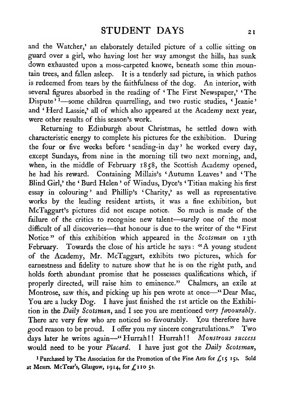and the Watcher,' an elaborately detailed picture of a collie sitting on guard over a girl, who having lost her way amongst the hills, has sunk down exhausted upon <sup>a</sup> moss-carpeted knowe, beneath some thin mountain trees, and fallen asleep. It is a tenderly sad picture, in which pathos is redeemed from tears by the faithfulness of the dog. An interior, with several figures absorbed in the reading of 'The First Newspaper,' 'The Dispute<sup>' 1</sup>—some children quarrelling, and two rustic studies, ' Jeanie' and ' Herd Lassie,' all of which also appeared at the Academy next year, were other results of this season's work.

Returning to Edinburgh about Christmas, he settled down with characteristic energy to complete his pictures for the exhibition. During the four or five weeks before ' sending-in day ' he worked every day, except Sundays, from nine in the morning till two next morning, and, when, in the middle of February 1858, the Scottish Academy opened, he had his reward. Containing Millais's 'Autumn Leaves' and 'The Blind Girl,' the ' Burd Helen ' of Windus, Dyce's ' Titian making his first essay in colouring' and Phillip's 'Charity,' as well as representative works by the leading resident artists, it was a fine exhibition, but McTaggart's pictures did not escape notice. So much is made of the failure of the critics to recognise new talent—surely one of the most difficult of all discoveries—that honour is due to the writer of the "First" Notice" of this exhibition which appeared in the Scotsman on 13th February. Towards the close of his article he says: "A young student of the Academy, Mr. McTaggart, exhibits two pictures, which for earnestness and fidelity to nature show that he is on the right path, and holds forth abundant promise that he possesses qualifications which, if properly directed, will raise him to eminence." Chalmers, an exile at Montrose, saw this, and picking up his pen wrote at once—" Dear Mac, You are a lucky Dog. I have just finished the 1st article on the Exhibition in the Daily Scotsman, and <sup>I</sup> see you are mentioned very favourably. There are very few who are noticed so favourably. You therefore have good reason to be proud. <sup>I</sup> offer you my sincere congratulations." Two days later he writes again-"Hurrah!! Hurrah!! Monstrous success would need to be your Placard. I have just got the Daily Scotsman,

<sup>1</sup> Purchased by The Association for the Promotion of the Fine Arts for £15 15s. Sold at Messrs. McTear's, Glasgow, 1914, for  $f_s$ 110 5s.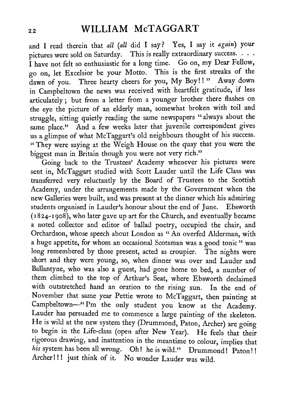and I read therein that *all (all* did I say? Yes, I say it *again*) your pictures were sold on Saturday. This is really extraordinary success.  $\dots$ <sup>I</sup> have not felt so enthusiastic for <sup>a</sup> long time. Go on, my Dear Fellow, go on, let Excelsior be your Motto. This is the first streaks of the dawn of you. Three hearty cheers for you, My Boy!!" Away down in Campbeltown the news was received with heartfelt gratitude, if less articulately ; but from <sup>a</sup> letter from <sup>a</sup> younger brother there flashes on the eye the picture of an elderly man, somewhat broken with toil and struggle, sitting quietly reading the same newspapers "always about the same place." And a few weeks later that juvenile correspondent gives us a glimpse of what McTaggart's old neighbours thought of his success. " They were saying at the Weigh House on the quay that you were the biggest man in Britain though you were not very rich."

Going back to the Trustees' Academy whenever his pictures were sent in, McTaggart studied with Scott Lauder until the Life Class was transferred very reluctantly by the Board of Trustees to the Scottish Academy, under the arrangements made by the Government when the new Galleries were built, and was present at the dinner which his admiring students organised in Lauder's honour about the end of June. Ebsworth (i 824-1908), who later gave up art for the Church, and eventually became a noted collector and editor of ballad poetry, occupied the chair, and Orchardson, whose speech about London as " An overfed Alderman, with a huge appetite, for whom an occasional Scotsman was a good tonic" was long remembered by those present, acted as croupier. The nights were short and they were young, so, when dinner was over and Lauder and Ballantyne, who was also <sup>a</sup> guest, had gone home to bed, <sup>a</sup> number of them climbed to the top of Arthur's Seat, where Ebsworth declaimed with outstretched hand an oration to the rising sun. In the end of November that same year Pettie wrote to McTaggart, then painting at Campbeltown—"I'm the only student you know at the Academy. Lauder has persuaded me to commence <sup>a</sup> large painting of the skeleton. He is wild at the new system they (Drummond, Paton, Archer) are going to begin in the Life-class (open after New Year). He feels that their rigorous drawing, and inattention in the meantime to colour, implies that his system has been all wrong. Oh! he is wild." Drummond! Paton!! Archer!!! just think of it. No wonder Lauder was wild.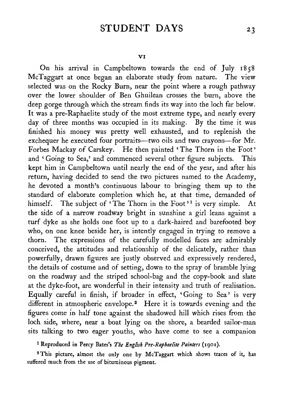### STUDENT DAYS 23

On his arrival in Campbeltown towards the end of July 1858 McTaggart at once began an elaborate study from nature. The view selected was on the Rocky Burn, near the point where a rough pathway over the lower shoulder of Ben Ghuilean crosses the burn, above the deep gorge through which the stream finds its way into the loch far below. It was a pre-Raphaelite study of the most extreme type, and nearly every day of three months was occupied in its making. By the time it was finished his money was pretty well exhausted, and to replenish the exchequer he executed four portraits—two oils and two crayons—for Mr. Forbes Mackay of Carskey. He then painted 'The Thorn in the Foot' and 'Going to Sea,' and commenced several other figure subjects. This kept him in Campbeltown until nearly the end of the year, and after his return, having decided to send the two pictures named to the Academy, he devoted a month's continuous labour to bringing them up to the standard of elaborate completion which he, at that time, demanded of himself. The subject of 'The Thorn in the Foot'<sup>1</sup> is very simple. At the side of a narrow roadway bright in sunshine a girl leans against a turf dyke as she holds one foot up to a dark-haired and barefooted boy who, on one knee beside her, is intently engaged in trying to remove a thorn. The expressions of the carefully modelled faces are admirably conceived, the attitudes and relationship of the delicately, rather than powerfully, drawn figures are justly observed and expressively rendered, the details of costume and of setting, down to the spray of bramble lying on the roadway and the striped school-bag and the copy-book and slate at the dyke-foot, are wonderful in their intensity and truth of realisation. Equally careful in finish, if broader in effect, 'Going to Sea' is very different in atmospheric envelope.<sup>2</sup> Here it is towards evening and the figures come in half tone against the shadowed hill which rises from the loch side, where, near a boat lying on the shore, a bearded sailor-man sits talking to two eager youths, who have come to see a companion

' Reproduced in Percy Bates's Tie English Pre-Raphaelite Painters (1901).

'This picture, almost the only one by McTaggart which shows traces of it, has suffered much from the use of bituminous pigment.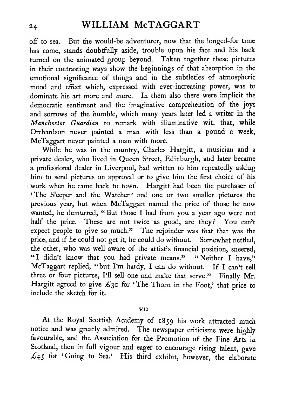off to sea. But the would-be adventurer, now that the longed-for time has come, stands doubtfully aside, trouble upon his face and his back turned on the animated group beyond. Taken together these pictures in their contrasting ways show the beginnings of that absorption in the emotional significance of things and in the subtleties of atmospheric mood and effect which, expressed with ever-increasing power, was to dominate his art more and more. In them also there were implicit the democratic sentiment and the imaginative comprehension of the joys and sorrows of the humble, which many years later led a writer in the Manchester Guardian to remark with illuminative wit, that, while Orchardson never painted <sup>a</sup> man with less than a pound a week, McTaggart never painted a man with more.

While he was in the country, Charles Hargitt, a musician and a private dealer, who lived in Queen Street, Edinburgh, and later became a professional dealer in Liverpool, had written to him repeatedly asking him to send pictures on approval or to give him the first choice of his work when he came back to town. Hargitt had been the purchaser of 'The Sleeper and the Watcher' and one or two smaller pictures the previous year, but when McTaggart named the price of those he now wanted, he demurred, "But those I had from you a year ago were not half the price. These are not twice as good, are they? You can't expect people to give so much." The rejoinder was that that was the price, and if he could not get it, he could do without. Somewhat nettled, the other, who was well aware of the artist's financial position, sneered, "I didn't know that you had private means." "Neither I have," McTaggart replied, "but I'm hardy, <sup>I</sup> can do without. If <sup>I</sup> can't sell three or four pictures, I'll sell one and make that serve." Finally Mr. Hargitt agreed to give  $\mathcal{L}_3$  for 'The Thorn in the Foot,' that price to include the sketch for it.

#### VII

At the Royal Scottish Academy of 1859 his work attracted much notice and was greatly admired. The newspaper criticisms were highly favourable, and the Association for the Promotion of the Fine Arts in Scotland, then in full vigour and eager to encourage rising talent, gave  $\pounds$ 45 for 'Going to Sea.' His third exhibit, however, the elaborate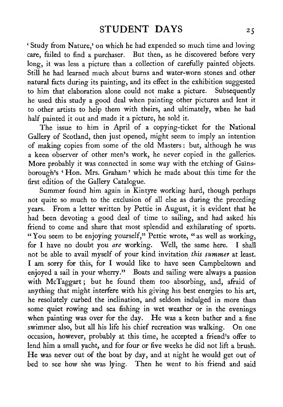' Study from Nature,' on which he had expended so much time and loving care, failed to find a purchaser. But then, as he discovered before very long, it was less a picture than a collection of carefully painted objects. Still he had learned much about burns and water-worn stones and other natural facts during its painting, and its effect in the exhibition suggested to him that elaboration alone could not make <sup>a</sup> picture. Subsequently he used this study a good deal when painting other pictures and lent it to other artists to help them with theirs, and ultimately, when he had half painted it out and made it a picture, he sold it.

The issue to him in April of a copying-ticket for the National Gallery of Scotland, then just opened, might seem to imply an intention of making copies from some of the old Masters : but, although he was a keen observer of other men's work, he never copied in the galleries. More probably it was connected in some way with the etching of Gainsborough's ' Hon. Mrs. Graham ' which he made about this time for the first edition of the Gallery Catalogue.

Summer found him again in Kintyre working hard, though perhaps not quite so much to the exclusion of all else as during the preceding years. From a letter written by Pettie in August, it is evident that he had been devoting a good deal of time to sailing, and had asked his friend to come and share that most splendid and exhilarating of sports. "You seem to be enjoying yourself," Pettie wrote, "as well as working, for <sup>I</sup> have no doubt you are working. Well, the same here. <sup>I</sup> shall not be able to avail myself of your kind invitation this summer at least. <sup>I</sup> am sorry for this, for <sup>I</sup> would like to have seen Campbeltown and enjoyed a sail in your wherry." Boats and sailing were always a passion with McTaggart ; but he found them too absorbing, and, afraid of anything that might interfere with his giving his best energies to his art, he resolutely curbed the inclination, and seldom indulged in more than some quiet rowing and sea fishing in wet weather or in the evenings when painting was over for the day. He was a keen bather and a fine swimmer also, but all his life his chief recreation was walking. On one occasion, however, probably at this time, he accepted a friend's offer to lend him a small yacht, and for four or five weeks he did not lift a brush. He was never out of the boat by day, and at night he would get out of bed to see how she was lying. Then he went to his friend and said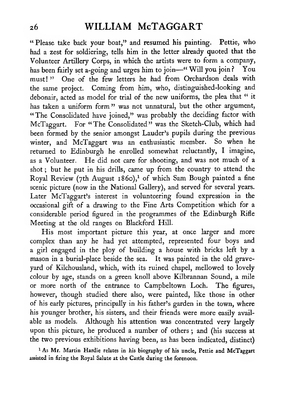"Please take back your boat," and resumed his painting. Pettie, who had a zest for soldiering, tells him in the letter already quoted that the Volunteer Artillery Corps, in which the artists were to form a company, has been fairly set a-going and urges him to join-" Will you join? You must!" One of the few letters he had from Orchardson deals with the same project. Coming from him, who, distinguished-looking and debonair, acted as model for trial of the new uniforms, the plea that " it has taken a uniform form" was not unnatural, but the other argument, "The Consolidated have joined," was probably the deciding factor with McTaggart. For "The Consolidated" was the Sketch-Club, which had been formed by the senior amongst Lauder's pupils during the previous winter, and McTaggart was an enthusiastic member. So when he returned to Edinburgh he enrolled somewhat reluctantly, <sup>I</sup> imagine, as <sup>a</sup> Volunteer. He did not care for shooting, and was not much of <sup>a</sup> shot ; but he put in his drills, came up from the country to attend the Royal Review (7th August 1860),<sup>1</sup> of which Sam Bough painted a fine scenic picture (now in the National Gallery), and served for several years. Later McTaggart's interest in volunteering found expression in the occasional gift of a drawing to the Fine Arts Competition which for a considerable period figured in the programmes of the Edinburgh Rifle Meeting at the old ranges on Blackford Hill.

His most important picture this year, at once larger and more complex than any he had yet attempted, represented four boys and a girl engaged in the ploy of building a house with bricks left by a mason in a burial-place beside the sea. It was painted in the old graveyard of Kilchousland, which, with its ruined chapel, mellowed to lovely colour by age, stands on a green knoll above Kilbrannan Sound, a mile or more north of the entrance to Campbeltown Loch. The figures, however, though studied there also, were painted, like those in other of his early pictures, principally in his father's garden in the town, where his younger brother, his sisters, and their friends were more easily available as models. Although his attention was concentrated very largely upon this picture, he produced a number of others ; and (his success at the two previous exhibitions having been, as has been indicated, distinct)

<sup>1</sup> As Mr. Martin Hardie relates in his biography of his uncle, Pettie and McTaggart assisted in firing the Royal Salute at the Castle during the forenoon.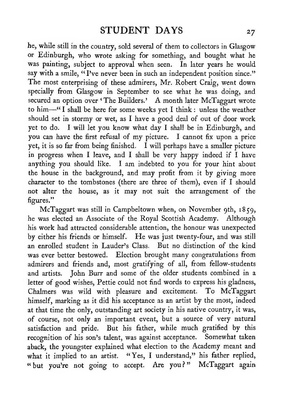he, while still in the country, sold several of them to collectors in Glasgow or Edinburgh, who wrote asking for something, and bought what he was painting, subject to approval when seen. In later years he would say with a smile, "I've never been in such an independent position since." The most enterprising of these admirers, Mr. Robert Craig, went down specially from Glasgow in September to see what he was doing, and secured an option over 'The Builders.' A month later McTaggart wrote to him—" <sup>I</sup> shall be here for some weeks yet <sup>I</sup> think : unless the weather should set in stormy or wet, as <sup>I</sup> have a good deal of out of door work yet to do. <sup>I</sup> will let you know what day <sup>I</sup> shall be in Edinburgh, and you can have the first refusal of my picture. <sup>I</sup> cannot fix upon <sup>a</sup> price yet, it is so far from being finished. I will perhaps have a smaller picture in progress when <sup>I</sup> leave, and <sup>I</sup> shall be very happy indeed if <sup>I</sup> have anything you should like. <sup>I</sup> am indebted to you for your hint about the house in the background, and may profit from it by giving more character to the tombstones (there are three of them), even if <sup>I</sup> should not alter the house, as it may not suit the arrangement of the figures."

McTaggart was still in Campbeltown when, on November 9th, 1859, he was elected an Associate of the Royal Scottish Academy. Although his work had attracted considerable attention, the honour was unexpected by either his friends or himself. He was just twenty-four, and was still an enrolled student in Lauder's Class. But no distinction of the kind was ever better bestowed. Election brought many congratulations from admirers and friends and, most gratifying of all, from fellow-students and artists. John Burr and some of the older students combined in a letter of good wishes, Pettie could not find words to express his gladness, Chalmers was wild with pleasure and excitement. To McTaggart himself, marking as it did his acceptance as an artist by the most, indeed at that time the only, outstanding art society in his native country, it was, of course, not only an important event, but a source of very natural satisfaction and pride. But his father, while much gratified by this recognition of his son's talent, was against acceptance. Somewhat taken aback, the youngster explained what election to the Academy meant and what it implied to an artist. "Yes, I understand," his father replied, "but you're not going to accept. Are you?" McTaggart again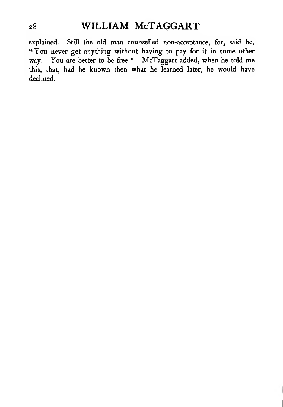explained. Still the old man counselled non-acceptance, for, said he, "You never get anything without having to pay for it in some other way. You are better to be free." McTaggart added, when he told me this, that, had he known then what he learned later, he would have declined.